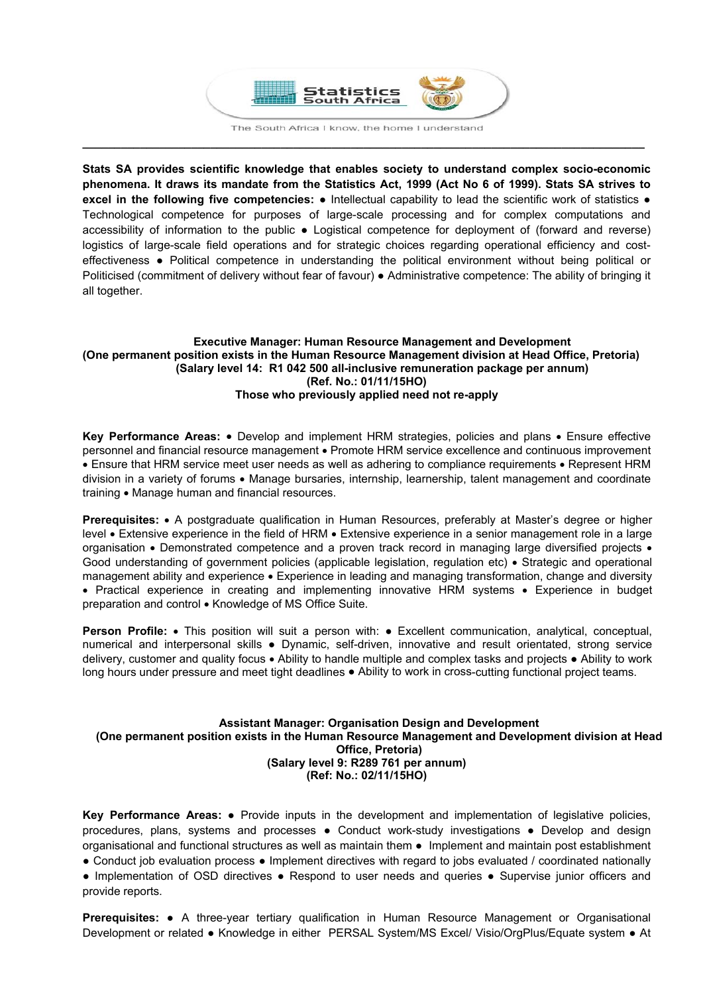

**\_\_\_\_\_\_\_\_\_\_\_\_\_\_\_\_\_\_\_\_\_\_\_\_\_\_\_\_\_\_\_\_\_\_\_\_\_\_\_\_\_\_\_\_\_\_\_\_\_\_\_\_\_\_\_\_\_\_\_\_\_\_\_\_\_\_\_\_\_\_\_\_\_\_\_\_\_\_\_\_\_\_\_\_\_\_\_\_** 

**Stats SA provides scientific knowledge that enables society to understand complex socio-economic phenomena. It draws its mandate from the Statistics Act, 1999 (Act No 6 of 1999). Stats SA strives to excel in the following five competencies:** ● Intellectual capability to lead the scientific work of statistics ● Technological competence for purposes of large-scale processing and for complex computations and accessibility of information to the public ● Logistical competence for deployment of (forward and reverse) logistics of large-scale field operations and for strategic choices regarding operational efficiency and costeffectiveness ● Political competence in understanding the political environment without being political or Politicised (commitment of delivery without fear of favour) ● Administrative competence: The ability of bringing it all together.

## **Executive Manager: Human Resource Management and Development (One permanent position exists in the Human Resource Management division at Head Office, Pretoria) (Salary level 14: R1 042 500 all-inclusive remuneration package per annum) (Ref. No.: 01/11/15HO) Those who previously applied need not re-apply**

**Key Performance Areas:** • Develop and implement HRM strategies, policies and plans • Ensure effective personnel and financial resource management • Promote HRM service excellence and continuous improvement • Ensure that HRM service meet user needs as well as adhering to compliance requirements • Represent HRM division in a variety of forums • Manage bursaries, internship, learnership, talent management and coordinate training • Manage human and financial resources.

**Prerequisites:** • A postgraduate qualification in Human Resources, preferably at Master's degree or higher level • Extensive experience in the field of HRM • Extensive experience in a senior management role in a large organisation • Demonstrated competence and a proven track record in managing large diversified projects • Good understanding of government policies (applicable legislation, regulation etc) • Strategic and operational management ability and experience • Experience in leading and managing transformation, change and diversity • Practical experience in creating and implementing innovative HRM systems • Experience in budget preparation and control . Knowledge of MS Office Suite.

**Person Profile:** • This position will suit a person with: • Excellent communication, analytical, conceptual, numerical and interpersonal skills ● Dynamic, self-driven, innovative and result orientated, strong service delivery, customer and quality focus • Ability to handle multiple and complex tasks and projects • Ability to work long hours under pressure and meet tight deadlines ● Ability to work in cross-cutting functional project teams.

## **Assistant Manager: Organisation Design and Development (One permanent position exists in the Human Resource Management and Development division at Head Office, Pretoria) (Salary level 9: R289 761 per annum) (Ref: No.: 02/11/15HO)**

**Key Performance Areas:** ● Provide inputs in the development and implementation of legislative policies, procedures, plans, systems and processes ● Conduct work-study investigations ● Develop and design organisational and functional structures as well as maintain them ● Implement and maintain post establishment ● Conduct job evaluation process ● Implement directives with regard to jobs evaluated / coordinated nationally

● Implementation of OSD directives ● Respond to user needs and queries ● Supervise junior officers and provide reports.

**Prerequisites:** ● A three-year tertiary qualification in Human Resource Management or Organisational Development or related ● Knowledge in either PERSAL System/MS Excel/ Visio/OrgPlus/Equate system ● At